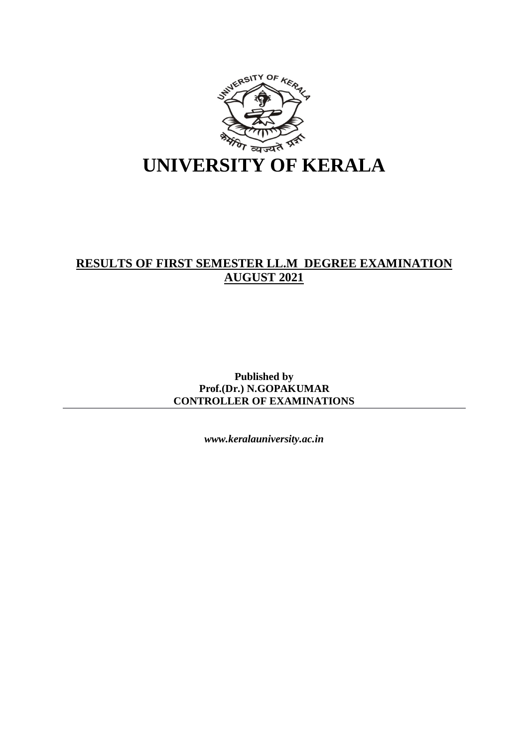

# **RESULTS OF FIRST SEMESTER LL.M DEGREE EXAMINATION AUGUST 2021**

**Published by Prof.(Dr.) N.GOPAKUMAR CONTROLLER OF EXAMINATIONS**

*www.keralauniversity.ac.in*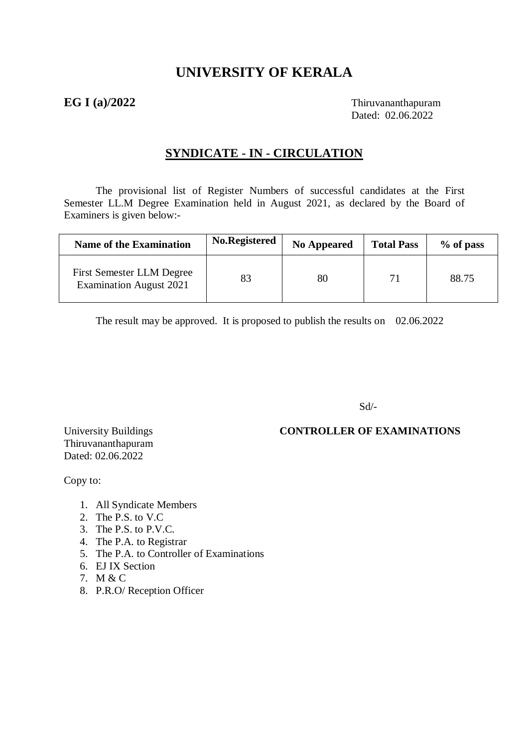# **UNIVERSITY OF KERALA**

**EG I (a)/2022** Thiruvananthapuram Dated: 02.06.2022

## **SYNDICATE - IN - CIRCULATION**

The provisional list of Register Numbers of successful candidates at the First Semester LL.M Degree Examination held in August 2021, as declared by the Board of Examiners is given below:-

| <b>Name of the Examination</b>                                     | No.Registered | <b>No Appeared</b> | <b>Total Pass</b> | % of pass |
|--------------------------------------------------------------------|---------------|--------------------|-------------------|-----------|
| <b>First Semester LLM Degree</b><br><b>Examination August 2021</b> | 83            | 80                 |                   | 88.75     |

The result may be approved. It is proposed to publish the results on 02.06.2022

Sd/-

# Thiruvananthapuram Dated: 02.06.2022

University Buildings **CONTROLLER OF EXAMINATIONS** 

Copy to:

- 1. All Syndicate Members
- 2. The P.S. to V.C
- 3. The P.S. to P.V.C.
- 4. The P.A. to Registrar
- 5. The P.A. to Controller of Examinations
- 6. EJ IX Section
- 7. M & C
- 8. P.R.O/ Reception Officer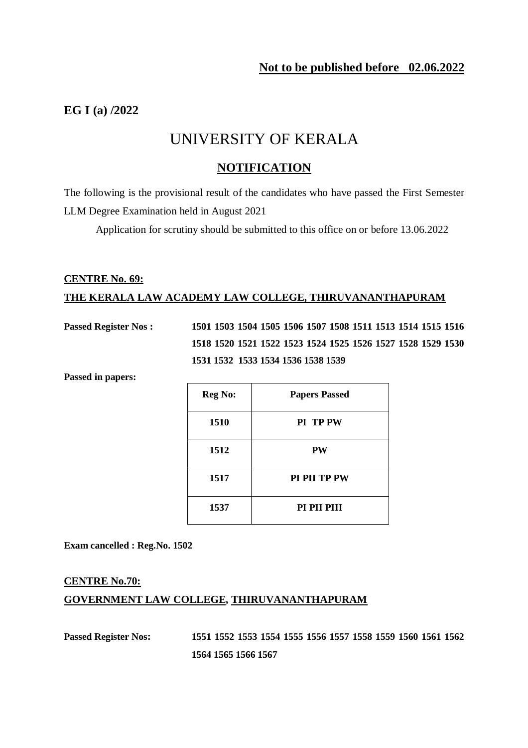# **EG I (a) /2022**

# UNIVERSITY OF KERALA

### **NOTIFICATION**

The following is the provisional result of the candidates who have passed the First Semester LLM Degree Examination held in August 2021

Application for scrutiny should be submitted to this office on or before 13.06.2022

# **CENTRE No. 69: THE KERALA LAW ACADEMY LAW COLLEGE, THIRUVANANTHAPURAM**

**Passed Register Nos : 1501 1503 1504 1505 1506 1507 1508 1511 1513 1514 1515 1516 1518 1520 1521 1522 1523 1524 1525 1526 1527 1528 1529 1530 1531 1532 1533 1534 1536 1538 1539** 

**Passed in papers:** 

| <b>Reg No:</b> | <b>Papers Passed</b> |
|----------------|----------------------|
| 1510           | PI TP PW             |
| 1512           | PW                   |
| 1517           | <b>PI PII TP PW</b>  |
| 1537           | PI PII PIII          |

**Exam cancelled : Reg.No. 1502**

# **CENTRE No.70: GOVERNMENT LAW COLLEGE, THIRUVANANTHAPURAM**

**Passed Register Nos: 1551 1552 1553 1554 1555 1556 1557 1558 1559 1560 1561 1562 1564 1565 1566 1567**